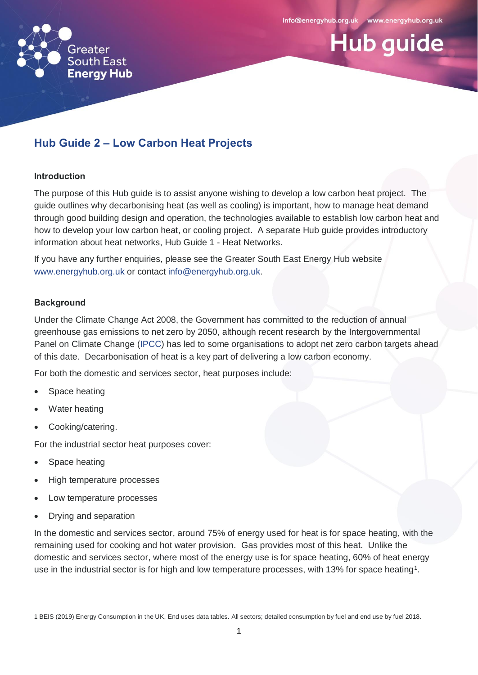

# **Hub guide**

# **Hub Guide 2 – Low Carbon Heat Projects**

#### **Introduction**

The purpose of this Hub guide is to assist anyone wishing to develop a low carbon heat project. The guide outlines why decarbonising heat (as well as cooling) is important, how to manage heat demand through good building design and operation, the technologies available to establish low carbon heat and how to develop your low carbon heat, or cooling project. A separate Hub guide provides introductory information about heat networks, Hub Guide 1 - Heat Networks.

If you have any further enquiries, please see the Greater South East Energy Hub website [www.energyhub.org.uk](http://www.energyhub.org.uk/) or contact [info@energyhub.org.uk.](mailto:info@energyhub.org.uk)

#### **Background**

Under the Climate Change Act 2008, the Government has committed to the reduction of annual greenhouse gas emissions to net zero by 2050, although recent research by the Intergovernmental Panel on Climate Change [\(IPCC\)](https://www.ipcc.ch/) has led to some organisations to adopt net zero carbon targets ahead of this date. Decarbonisation of heat is a key part of delivering a low carbon economy.

For both the domestic and services sector, heat purposes include:

- Space heating
- Water heating
- Cooking/catering.

For the industrial sector heat purposes cover:

- Space heating
- High temperature processes
- Low temperature processes
- Drying and separation

In the domestic and services sector, around 75% of energy used for heat is for space heating, with the remaining used for cooking and hot water provision. Gas provides most of this heat. Unlike the domestic and services sector, where most of the energy use is for space heating, 60% of heat energy use in the industrial sector is for high and low temperature processes, with 13% for space heating<sup>1</sup>.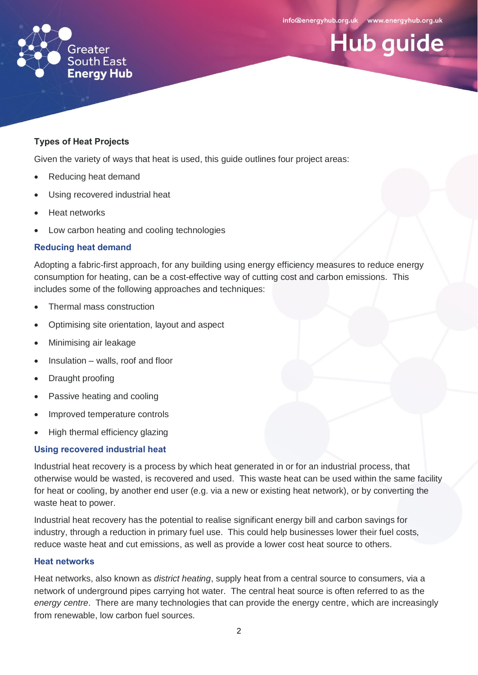**Hub guide** 



#### **Types of Heat Projects**

Given the variety of ways that heat is used, this guide outlines four project areas:

- Reducing heat demand
- Using recovered industrial heat
- Heat networks
- Low carbon heating and cooling technologies

#### **Reducing heat demand**

Adopting a fabric-first approach, for any building using energy efficiency measures to reduce energy consumption for heating, can be a cost-effective way of cutting cost and carbon emissions. This includes some of the following approaches and techniques:

- Thermal mass construction
- Optimising site orientation, layout and aspect
- Minimising air leakage
- $\bullet$  Insulation walls, roof and floor
- Draught proofing
- Passive heating and cooling
- Improved temperature controls
- High thermal efficiency glazing

#### **Using recovered industrial heat**

Industrial heat recovery is a process by which heat generated in or for an industrial process, that otherwise would be wasted, is recovered and used. This waste heat can be used within the same facility for heat or cooling, by another end user (e.g. via a new or existing heat network), or by converting the waste heat to power.

Industrial heat recovery has the potential to realise significant energy bill and carbon savings for industry, through a reduction in primary fuel use. This could help businesses lower their fuel costs, reduce waste heat and cut emissions, as well as provide a lower cost heat source to others.

#### **Heat networks**

Heat networks, also known as *district heating*, supply heat from a central source to consumers, via a network of underground pipes carrying hot water. The central heat source is often referred to as the *energy centre*. There are many technologies that can provide the energy centre, which are increasingly from renewable, low carbon fuel sources.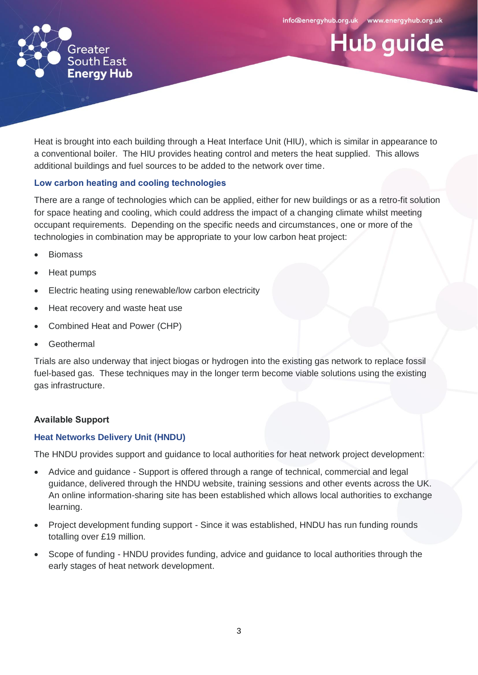**Hub guide** 



Heat is brought into each building through a Heat Interface Unit (HIU), which is similar in appearance to a conventional boiler. The HIU provides heating control and meters the heat supplied. This allows additional buildings and fuel sources to be added to the network over time.

# **Low carbon heating and cooling technologies**

There are a range of technologies which can be applied, either for new buildings or as a retro-fit solution for space heating and cooling, which could address the impact of a changing climate whilst meeting occupant requirements. Depending on the specific needs and circumstances, one or more of the technologies in combination may be appropriate to your low carbon heat project:

- Biomass
- Heat pumps
- Electric heating using renewable/low carbon electricity
- Heat recovery and waste heat use
- Combined Heat and Power (CHP)
- Geothermal

Trials are also underway that inject biogas or hydrogen into the existing gas network to replace fossil fuel-based gas. These techniques may in the longer term become viable solutions using the existing gas infrastructure.

#### **Available Support**

### **[Heat Networks Delivery Unit \(HNDU\)](https://www.gov.uk/guidance/heat-networks-delivery-unit)**

The HNDU provides support and guidance to local authorities for heat network project development:

- Advice and guidance Support is offered through a range of technical, commercial and legal guidance, delivered through the HNDU website, training sessions and other events across the UK. An online information-sharing site has been established which allows local authorities to exchange learning.
- Project development funding support Since it was established, HNDU has run funding rounds totalling over £19 million.
- Scope of funding HNDU provides funding, advice and guidance to local authorities through the early stages of heat network development.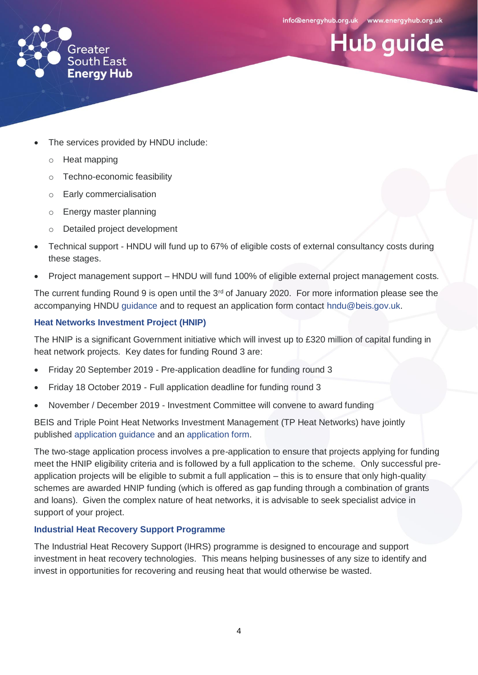**Hub guide** 



- The services provided by HNDU include:
	- o Heat mapping
	- o Techno-economic feasibility
	- o Early commercialisation
	- o Energy master planning
	- o Detailed project development
- Technical support HNDU will fund up to 67% of eligible costs of external consultancy costs during these stages.
- Project management support HNDU will fund 100% of eligible external project management costs.

The current funding Round 9 is open until the 3<sup>rd</sup> of January 2020. For more information please see the accompanying HNDU [guidance](https://assets.publishing.service.gov.uk/government/uploads/system/uploads/attachment_data/file/707805/HNDU_Round_8_guidance.pdf) and to request an application form contact [hndu@beis.gov.uk.](mailto:hndu@beis.gov.uk)

# **[Heat Networks Investment Project \(HNIP\)](https://tp-heatnetworks.org/)**

The HNIP is a significant Government initiative which will invest up to £320 million of capital funding in heat network projects. Key dates for funding Round 3 are:

- Friday 20 September 2019 Pre-application deadline for funding round 3
- Friday 18 October 2019 Full application deadline for funding round 3
- November / December 2019 Investment Committee will convene to award funding

BEIS and Triple Point Heat Networks Investment Management (TP Heat Networks) have jointly published [application guidance](https://www.gov.uk/government/publications/apply-for-heat-networks-investment-project-hnip-funding) and an [application form.](https://tp-heatnetworks.org/applicationform/)

The two-stage application process involves a pre-application to ensure that projects applying for funding meet the HNIP eligibility criteria and is followed by a full application to the scheme. Only successful preapplication projects will be eligible to submit a full application – this is to ensure that only high-quality schemes are awarded HNIP funding (which is offered as gap funding through a combination of grants and loans). Given the complex nature of heat networks, it is advisable to seek specialist advice in support of your project.

# **Industrial Heat Recovery Support Programme**

The Industrial Heat Recovery Support (IHRS) programme is designed to encourage and support investment in heat recovery technologies. This means helping businesses of any size to identify and invest in opportunities for recovering and reusing heat that would otherwise be wasted.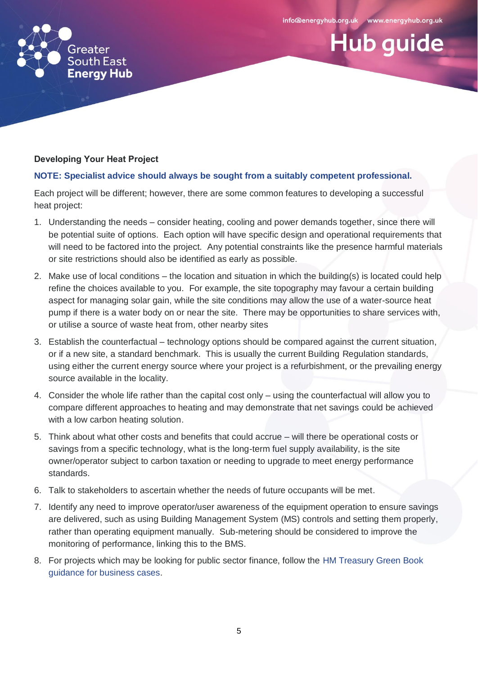**Hub guide** 



# **Developing Your Heat Project**

# **NOTE: Specialist advice should always be sought from a suitably competent professional.**

Each project will be different; however, there are some common features to developing a successful heat project:

- 1. Understanding the needs consider heating, cooling and power demands together, since there will be potential suite of options. Each option will have specific design and operational requirements that will need to be factored into the project. Any potential constraints like the presence harmful materials or site restrictions should also be identified as early as possible.
- 2. Make use of local conditions the location and situation in which the building(s) is located could help refine the choices available to you. For example, the site topography may favour a certain building aspect for managing solar gain, while the site conditions may allow the use of a water-source heat pump if there is a water body on or near the site. There may be opportunities to share services with, or utilise a source of waste heat from, other nearby sites
- 3. Establish the counterfactual technology options should be compared against the current situation, or if a new site, a standard benchmark. This is usually the current Building Regulation standards, using either the current energy source where your project is a refurbishment, or the prevailing energy source available in the locality.
- 4. Consider the whole life rather than the capital cost only using the counterfactual will allow you to compare different approaches to heating and may demonstrate that net savings could be achieved with a low carbon heating solution.
- 5. Think about what other costs and benefits that could accrue will there be operational costs or savings from a specific technology, what is the long-term fuel supply availability, is the site owner/operator subject to carbon taxation or needing to upgrade to meet energy performance standards.
- 6. Talk to stakeholders to ascertain whether the needs of future occupants will be met.
- 7. Identify any need to improve operator/user awareness of the equipment operation to ensure savings are delivered, such as using Building Management System (MS) controls and setting them properly, rather than operating equipment manually. Sub-metering should be considered to improve the monitoring of performance, linking this to the BMS.
- 8. For projects which may be looking for public sector finance, follow the [HM Treasury Green Book](https://www.gov.uk/government/publications/the-green-book-appraisal-and-evaluation-in-central-governent)  [guidance for business cases.](https://www.gov.uk/government/publications/the-green-book-appraisal-and-evaluation-in-central-governent)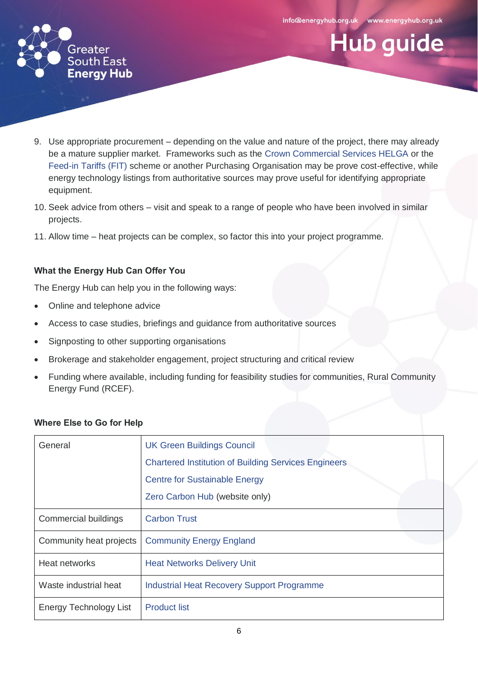

**Hub guide** 



- 9. Use appropriate procurement depending on the value and nature of the project, there may already be a mature supplier market. Frameworks such as the [Crown Commercial Services HELGA](https://www.crowncommercial.gov.uk/agreements/RM3824) or the [Feed-in Tariffs](https://www.ofgem.gov.uk/environmental-programmes/fit) (FIT) scheme or another Purchasing Organisation may be prove cost-effective, while energy technology listings from authoritative sources may prove useful for identifying appropriate equipment.
- 10. Seek advice from others visit and speak to a range of people who have been involved in similar projects.
- 11. Allow time heat projects can be complex, so factor this into your project programme.

# **What the Energy Hub Can Offer You**

The Energy Hub can help you in the following ways:

- Online and telephone advice
- Access to case studies, briefings and guidance from authoritative sources
- Signposting to other supporting organisations
- Brokerage and stakeholder engagement, project structuring and critical review
- Funding where available, including funding for feasibility studies for communities, Rural Community Energy Fund (RCEF).

| General                 | <b>UK Green Buildings Council</b>                           |
|-------------------------|-------------------------------------------------------------|
|                         | <b>Chartered Institution of Building Services Engineers</b> |
|                         | <b>Centre for Sustainable Energy</b>                        |
|                         | Zero Carbon Hub (website only)                              |
| Commercial buildings    | <b>Carbon Trust</b>                                         |
| Community heat projects | <b>Community Energy England</b>                             |
| Heat networks           | <b>Heat Networks Delivery Unit</b>                          |
| Waste industrial heat   | <b>Industrial Heat Recovery Support Programme</b>           |
| Energy Technology List  | <b>Product list</b>                                         |

# **Where Else to Go for Help**